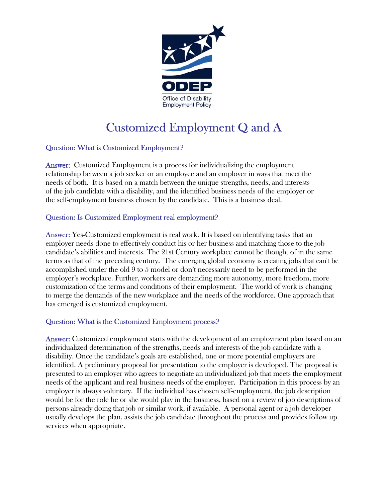

# Customized Employment Q and A

# Question: What is Customized Employment?

Answer: Customized Employment is a process for individualizing the employment relationship between a job seeker or an employee and an employer in ways that meet the needs of both. It is based on a match between the unique strengths, needs, and interests of the job candidate with a disability, and the identified business needs of the employer or the self-employment business chosen by the candidate. This is a business deal.

# Question: Is Customized Employment real employment?

Answer: Yes-Customized employment is real work. It is based on identifying tasks that an employer needs done to effectively conduct his or her business and matching those to the job candidate's abilities and interests. The 21st Century workplace cannot be thought of in the same terms as that of the preceding century. The emerging global economy is creating jobs that can't be accomplished under the old 9 to 5 model or don't necessarily need to be performed in the employer's workplace. Further, workers are demanding more autonomy, more freedom, more customization of the terms and conditions of their employment. The world of work is changing to merge the demands of the new workplace and the needs of the workforce. One approach that has emerged is customized employment.

## Question: What is the Customized Employment process?

Answer: Customized employment starts with the development of an employment plan based on an individualized determination of the strengths, needs and interests of the job candidate with a disability. Once the candidate's goals are established, one or more potential employers are identified. A preliminary proposal for presentation to the employer is developed. The proposal is presented to an employer who agrees to negotiate an individualized job that meets the employment needs of the applicant and real business needs of the employer. Participation in this process by an employer is always voluntary. If the individual has chosen self-employment, the job description would be for the role he or she would play in the business, based on a review of job descriptions of persons already doing that job or similar work, if available. A personal agent or a job developer usually develops the plan, assists the job candidate throughout the process and provides follow up services when appropriate.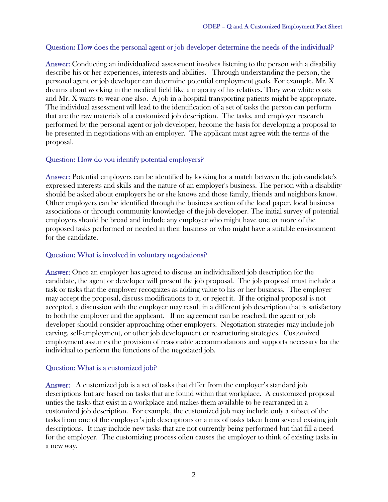### Question: How does the personal agent or job developer determine the needs of the individual?

Answer: Conducting an individualized assessment involves listening to the person with a disability describe his or her experiences, interests and abilities. Through understanding the person, the personal agent or job developer can determine potential employment goals. For example, Mr. X dreams about working in the medical field like a majority of his relatives. They wear white coats and Mr. X wants to wear one also. A job in a hospital transporting patients might be appropriate. The individual assessment will lead to the identification of a set of tasks the person can perform that are the raw materials of a customized job description. The tasks, and employer research performed by the personal agent or job developer, become the basis for developing a proposal to be presented in negotiations with an employer. The applicant must agree with the terms of the proposal.

#### Question: How do you identify potential employers?

Answer: Potential employers can be identified by looking for a match between the job candidate's expressed interests and skills and the nature of an employer's business. The person with a disability should be asked about employers he or she knows and those family, friends and neighbors know. Other employers can be identified through the business section of the local paper, local business associations or through community knowledge of the job developer. The initial survey of potential employers should be broad and include any employer who might have one or more of the proposed tasks performed or needed in their business or who might have a suitable environment for the candidate.

#### Question: What is involved in voluntary negotiations?

Answer: Once an employer has agreed to discuss an individualized job description for the candidate, the agent or developer will present the job proposal. The job proposal must include a task or tasks that the employer recognizes as adding value to his or her business. The employer may accept the proposal, discuss modifications to it, or reject it. If the original proposal is not accepted, a discussion with the employer may result in a different job description that is satisfactory to both the employer and the applicant. If no agreement can be reached, the agent or job developer should consider approaching other employers. Negotiation strategies may include job carving, self-employment, or other job development or restructuring strategies. Customized employment assumes the provision of reasonable accommodations and supports necessary for the individual to perform the functions of the negotiated job.

#### Question: What is a customized job?

Answer: A customized job is a set of tasks that differ from the employer's standard job descriptions but are based on tasks that are found within that workplace. A customized proposal unties the tasks that exist in a workplace and makes them available to be rearranged in a customized job description. For example, the customized job may include only a subset of the tasks from one of the employer's job descriptions or a mix of tasks taken from several existing job descriptions. It may include new tasks that are not currently being performed but that fill a need for the employer. The customizing process often causes the employer to think of existing tasks in a new way.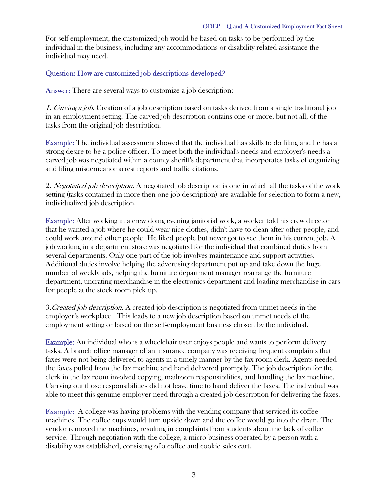For self-employment, the customized job would be based on tasks to be performed by the individual in the business, including any accommodations or disability-related assistance the individual may need.

## Question: How are customized job descriptions developed?

Answer: There are several ways to customize a job description:

1. Carving a job. Creation of a job description based on tasks derived from a single traditional job in an employment setting. The carved job description contains one or more, but not all, of the tasks from the original job description.

Example: The individual assessment showed that the individual has skills to do filing and he has a strong desire to be a police officer. To meet both the individual's needs and employer's needs a carved job was negotiated within a county sheriff's department that incorporates tasks of organizing and filing misdemeanor arrest reports and traffic citations.

2. Negotiated job description. A negotiated job description is one in which all the tasks of the work setting (tasks contained in more then one job description) are available for selection to form a new, individualized job description.

Example: After working in a crew doing evening janitorial work, a worker told his crew director that he wanted a job where he could wear nice clothes, didn't have to clean after other people, and could work around other people. He liked people but never got to see them in his current job. A job working in a department store was negotiated for the individual that combined duties from several departments. Only one part of the job involves maintenance and support activities. Additional duties involve helping the advertising department put up and take down the huge number of weekly ads, helping the furniture department manager rearrange the furniture department, uncrating merchandise in the electronics department and loading merchandise in cars for people at the stock room pick up.

3.Created job description. A created job description is negotiated from unmet needs in the employer's workplace. This leads to a new job description based on unmet needs of the employment setting or based on the self-employment business chosen by the individual.

Example: An individual who is a wheelchair user enjoys people and wants to perform delivery tasks. A branch office manager of an insurance company was receiving frequent complaints that faxes were not being delivered to agents in a timely manner by the fax room clerk. Agents needed the faxes pulled from the fax machine and hand delivered promptly. The job description for the clerk in the fax room involved copying, mailroom responsibilities, and handling the fax machine. Carrying out those responsibilities did not leave time to hand deliver the faxes. The individual was able to meet this genuine employer need through a created job description for delivering the faxes.

Example: A college was having problems with the vending company that serviced its coffee machines. The coffee cups would turn upside down and the coffee would go into the drain. The vendor removed the machines, resulting in complaints from students about the lack of coffee service. Through negotiation with the college, a micro business operated by a person with a disability was established, consisting of a coffee and cookie sales cart.